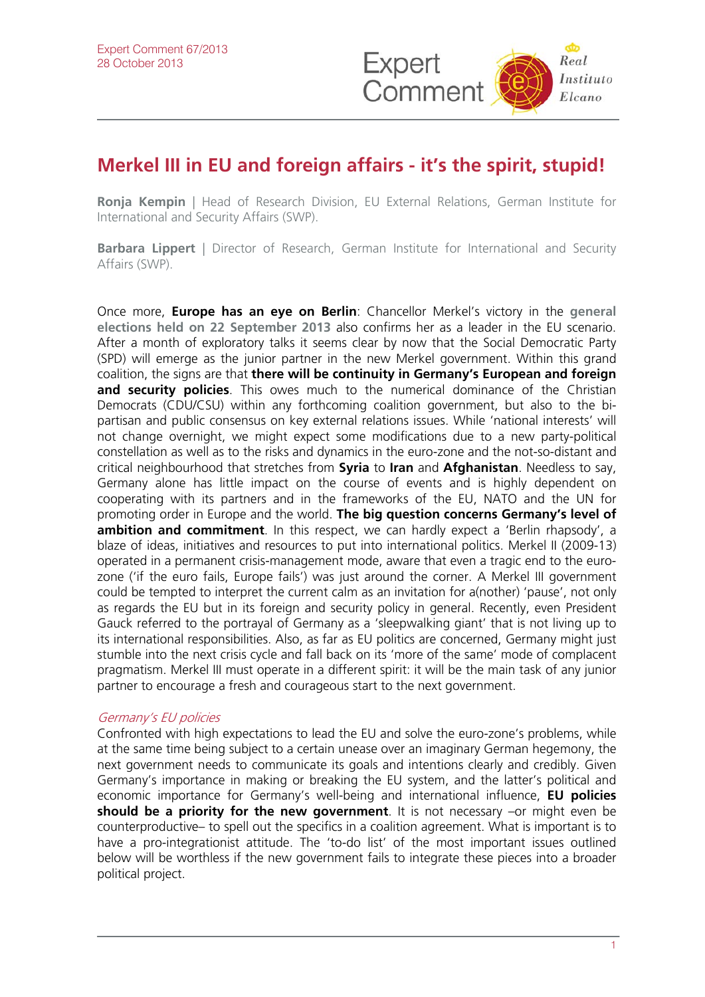

## **Merkel III in EU and foreign affairs - it's the spirit, stupid!**

**Ronia Kempin** | Head of Research Division, EU External Relations, German Institute for International and Security Affairs (SWP).

**Barbara Lippert** | Director of Research, German Institute for International and Security Affairs (SWP).

Once more, **Europe has an eye on Berlin**: Chancellor Merkel's victory in the **[general](http://www.realinstitutoelcano.org/wps/portal/rielcano_eng/Content?WCM_GLOBAL_CONTEXT=/elcano/elcano_in/zonas_in/europe/commentary-otero-merkel-now-carry-heavy-burden)  [elections held on 22 September 2013](http://www.realinstitutoelcano.org/wps/portal/rielcano_eng/Content?WCM_GLOBAL_CONTEXT=/elcano/elcano_in/zonas_in/europe/commentary-otero-merkel-now-carry-heavy-burden)** also confirms her as a leader in the EU scenario. After a month of exploratory talks it seems clear by now that the Social Democratic Party (SPD) will emerge as the junior partner in the new Merkel government. Within this grand coalition, the signs are that **there will be continuity in Germany's European and foreign and security policies**. This owes much to the numerical dominance of the Christian Democrats (CDU/CSU) within any forthcoming coalition government, but also to the bipartisan and public consensus on key external relations issues. While 'national interests' will not change overnight, we might expect some modifications due to a new party-political constellation as well as to the risks and dynamics in the euro-zone and the not-so-distant and critical neighbourhood that stretches from **Syria** to **Iran** and **Afghanistan**. Needless to say, Germany alone has little impact on the course of events and is highly dependent on cooperating with its partners and in the frameworks of the EU, NATO and the UN for promoting order in Europe and the world. **The big question concerns Germany's level of ambition and commitment**. In this respect, we can hardly expect a 'Berlin rhapsody', a blaze of ideas, initiatives and resources to put into international politics. Merkel II (2009-13) operated in a permanent crisis-management mode, aware that even a tragic end to the eurozone ('if the euro fails, Europe fails') was just around the corner. A Merkel III government could be tempted to interpret the current calm as an invitation for a(nother) 'pause', not only as regards the EU but in its foreign and security policy in general. Recently, even President Gauck referred to the portrayal of Germany as a 'sleepwalking giant' that is not living up to its international responsibilities. Also, as far as EU politics are concerned, Germany might just stumble into the next crisis cycle and fall back on its 'more of the same' mode of complacent pragmatism. Merkel III must operate in a different spirit: it will be the main task of any junior partner to encourage a fresh and courageous start to the next government.

## Germany's EU policies

Confronted with high expectations to lead the EU and solve the euro-zone's problems, while at the same time being subject to a certain unease over an imaginary German hegemony, the next government needs to communicate its goals and intentions clearly and credibly. Given Germany's importance in making or breaking the EU system, and the latter's political and economic importance for Germany's well-being and international influence, **EU policies should be a priority for the new government**. It is not necessary –or might even be counterproductive– to spell out the specifics in a coalition agreement. What is important is to have a pro-integrationist attitude. The 'to-do list' of the most important issues outlined below will be worthless if the new government fails to integrate these pieces into a broader political project.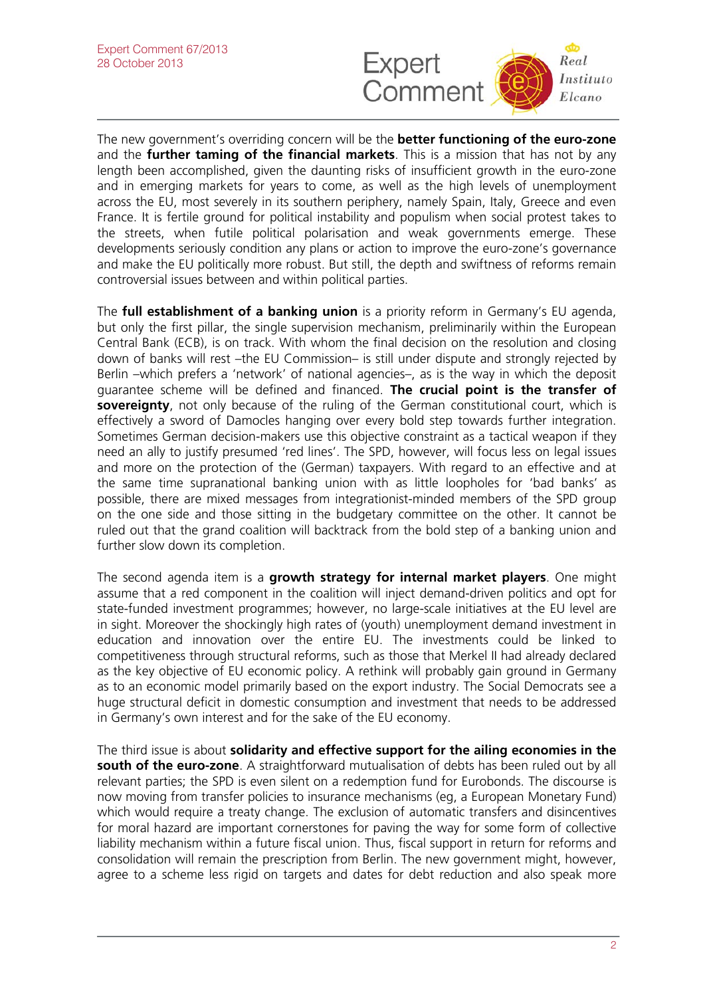

The new government's overriding concern will be the **better functioning of the euro-zone** and the **further taming of the financial markets**. This is a mission that has not by any length been accomplished, given the daunting risks of insufficient growth in the euro-zone and in emerging markets for years to come, as well as the high levels of unemployment across the EU, most severely in its southern periphery, namely Spain, Italy, Greece and even France. It is fertile ground for political instability and populism when social protest takes to the streets, when futile political polarisation and weak governments emerge. These developments seriously condition any plans or action to improve the euro-zone's governance and make the EU politically more robust. But still, the depth and swiftness of reforms remain controversial issues between and within political parties.

The **full establishment of a banking union** is a priority reform in Germany's EU agenda, but only the first pillar, the single supervision mechanism, preliminarily within the European Central Bank (ECB), is on track. With whom the final decision on the resolution and closing down of banks will rest –the EU Commission– is still under dispute and strongly rejected by Berlin –which prefers a 'network' of national agencies–, as is the way in which the deposit guarantee scheme will be defined and financed. **The crucial point is the transfer of sovereignty**, not only because of the ruling of the German constitutional court, which is effectively a sword of Damocles hanging over every bold step towards further integration. Sometimes German decision-makers use this objective constraint as a tactical weapon if they need an ally to justify presumed 'red lines'. The SPD, however, will focus less on legal issues and more on the protection of the (German) taxpayers. With regard to an effective and at the same time supranational banking union with as little loopholes for 'bad banks' as possible, there are mixed messages from integrationist-minded members of the SPD group on the one side and those sitting in the budgetary committee on the other. It cannot be ruled out that the grand coalition will backtrack from the bold step of a banking union and further slow down its completion.

The second agenda item is a **growth strategy for internal market players**. One might assume that a red component in the coalition will inject demand-driven politics and opt for state-funded investment programmes; however, no large-scale initiatives at the EU level are in sight. Moreover the shockingly high rates of (youth) unemployment demand investment in education and innovation over the entire EU. The investments could be linked to competitiveness through structural reforms, such as those that Merkel II had already declared as the key objective of EU economic policy. A rethink will probably gain ground in Germany as to an economic model primarily based on the export industry. The Social Democrats see a huge structural deficit in domestic consumption and investment that needs to be addressed in Germany's own interest and for the sake of the EU economy.

The third issue is about **solidarity and effective support for the ailing economies in the south of the euro-zone**. A straightforward mutualisation of debts has been ruled out by all relevant parties; the SPD is even silent on a redemption fund for Eurobonds. The discourse is now moving from transfer policies to insurance mechanisms (eg, a European Monetary Fund) which would require a treaty change. The exclusion of automatic transfers and disincentives for moral hazard are important cornerstones for paving the way for some form of collective liability mechanism within a future fiscal union. Thus, fiscal support in return for reforms and consolidation will remain the prescription from Berlin. The new government might, however, agree to a scheme less rigid on targets and dates for debt reduction and also speak more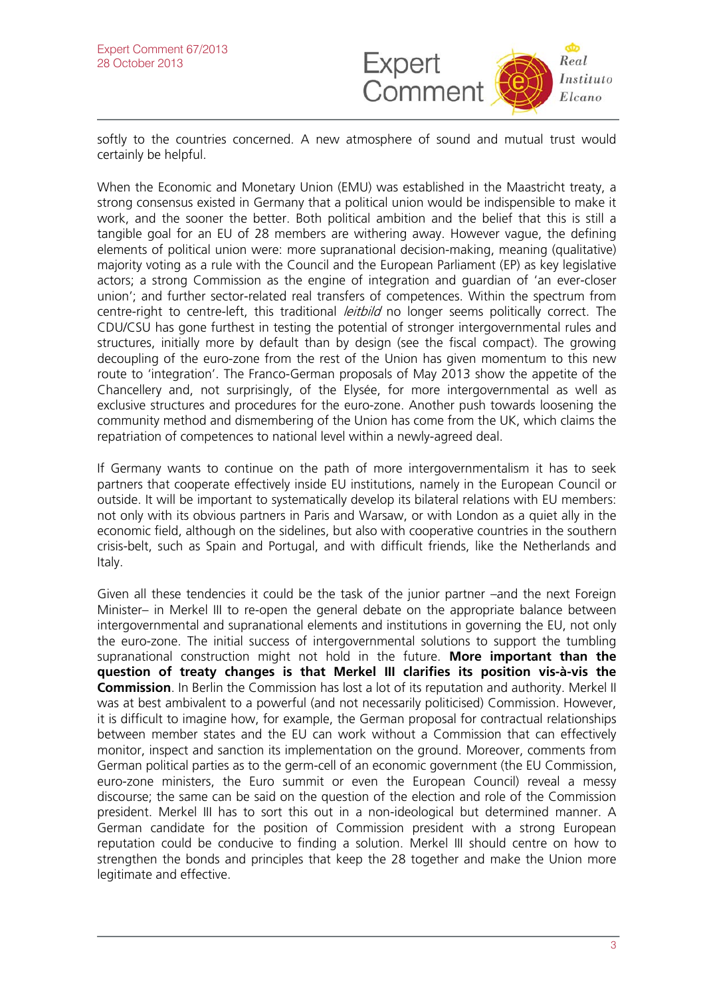

softly to the countries concerned. A new atmosphere of sound and mutual trust would certainly be helpful.

When the Economic and Monetary Union (EMU) was established in the Maastricht treaty, a strong consensus existed in Germany that a political union would be indispensible to make it work, and the sooner the better. Both political ambition and the belief that this is still a tangible goal for an EU of 28 members are withering away. However vague, the defining elements of political union were: more supranational decision-making, meaning (qualitative) majority voting as a rule with the Council and the European Parliament (EP) as key legislative actors; a strong Commission as the engine of integration and guardian of 'an ever-closer union'; and further sector-related real transfers of competences. Within the spectrum from centre-right to centre-left, this traditional *leitbild* no longer seems politically correct. The CDU/CSU has gone furthest in testing the potential of stronger intergovernmental rules and structures, initially more by default than by design (see the fiscal compact). The growing decoupling of the euro-zone from the rest of the Union has given momentum to this new route to 'integration'. The Franco-German proposals of May 2013 show the appetite of the Chancellery and, not surprisingly, of the Elysée, for more intergovernmental as well as exclusive structures and procedures for the euro-zone. Another push towards loosening the community method and dismembering of the Union has come from the UK, which claims the repatriation of competences to national level within a newly-agreed deal.

If Germany wants to continue on the path of more intergovernmentalism it has to seek partners that cooperate effectively inside EU institutions, namely in the European Council or outside. It will be important to systematically develop its bilateral relations with EU members: not only with its obvious partners in Paris and Warsaw, or with London as a quiet ally in the economic field, although on the sidelines, but also with cooperative countries in the southern crisis-belt, such as Spain and Portugal, and with difficult friends, like the Netherlands and Italy.

Given all these tendencies it could be the task of the junior partner –and the next Foreign Minister– in Merkel III to re-open the general debate on the appropriate balance between intergovernmental and supranational elements and institutions in governing the EU, not only the euro-zone. The initial success of intergovernmental solutions to support the tumbling supranational construction might not hold in the future. **More important than the question of treaty changes is that Merkel III clarifies its position vis-à-vis the Commission**. In Berlin the Commission has lost a lot of its reputation and authority. Merkel II was at best ambivalent to a powerful (and not necessarily politicised) Commission. However, it is difficult to imagine how, for example, the German proposal for contractual relationships between member states and the EU can work without a Commission that can effectively monitor, inspect and sanction its implementation on the ground. Moreover, comments from German political parties as to the germ-cell of an economic government (the EU Commission, euro-zone ministers, the Euro summit or even the European Council) reveal a messy discourse; the same can be said on the question of the election and role of the Commission president. Merkel III has to sort this out in a non-ideological but determined manner. A German candidate for the position of Commission president with a strong European reputation could be conducive to finding a solution. Merkel III should centre on how to strengthen the bonds and principles that keep the 28 together and make the Union more legitimate and effective.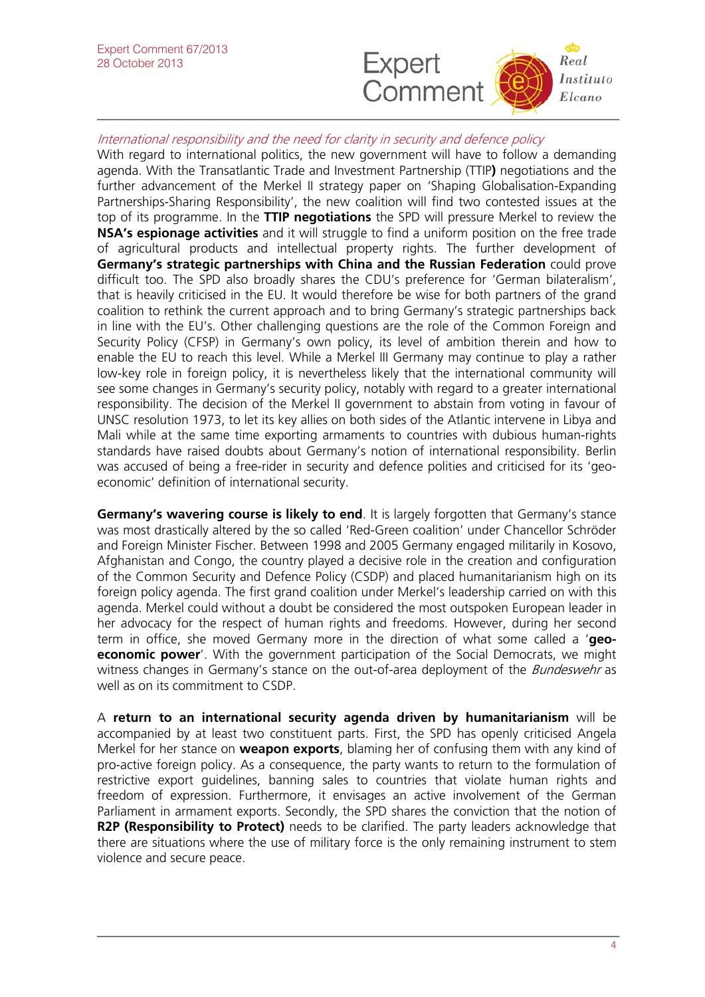

## International responsibility and the need for clarity in security and defence policy

With regard to international politics, the new government will have to follow a demanding agenda. With the Transatlantic Trade and Investment Partnership (TTIP**)** negotiations and the further advancement of the Merkel II strategy paper on 'Shaping Globalisation-Expanding Partnerships-Sharing Responsibility', the new coalition will find two contested issues at the top of its programme. In the **TTIP negotiations** the SPD will pressure Merkel to review the **NSA's espionage activities** and it will struggle to find a uniform position on the free trade of agricultural products and intellectual property rights. The further development of **Germany's strategic partnerships with China and the Russian Federation** could prove difficult too. The SPD also broadly shares the CDU's preference for 'German bilateralism', that is heavily criticised in the EU. It would therefore be wise for both partners of the grand coalition to rethink the current approach and to bring Germany's strategic partnerships back in line with the EU's. Other challenging questions are the role of the Common Foreign and Security Policy (CFSP) in Germany's own policy, its level of ambition therein and how to enable the EU to reach this level. While a Merkel III Germany may continue to play a rather low-key role in foreign policy, it is nevertheless likely that the international community will see some changes in Germany's security policy, notably with regard to a greater international responsibility. The decision of the Merkel II government to abstain from voting in favour of UNSC resolution 1973, to let its key allies on both sides of the Atlantic intervene in Libya and Mali while at the same time exporting armaments to countries with dubious human-rights standards have raised doubts about Germany's notion of international responsibility. Berlin was accused of being a free-rider in security and defence polities and criticised for its 'geoeconomic' definition of international security.

**Germany's wavering course is likely to end**. It is largely forgotten that Germany's stance was most drastically altered by the so called 'Red-Green coalition' under Chancellor Schröder and Foreign Minister Fischer. Between 1998 and 2005 Germany engaged militarily in Kosovo, Afghanistan and Congo, the country played a decisive role in the creation and configuration of the Common Security and Defence Policy (CSDP) and placed humanitarianism high on its foreign policy agenda. The first grand coalition under Merkel's leadership carried on with this agenda. Merkel could without a doubt be considered the most outspoken European leader in her advocacy for the respect of human rights and freedoms. However, during her second term in office, she moved Germany more in the direction of what some called a '**geoeconomic power'**. With the government participation of the Social Democrats, we might witness changes in Germany's stance on the out-of-area deployment of the *Bundeswehr* as well as on its commitment to CSDP.

A **return to an international security agenda driven by humanitarianism** will be accompanied by at least two constituent parts. First, the SPD has openly criticised Angela Merkel for her stance on **weapon exports**, blaming her of confusing them with any kind of pro-active foreign policy. As a consequence, the party wants to return to the formulation of restrictive export guidelines, banning sales to countries that violate human rights and freedom of expression. Furthermore, it envisages an active involvement of the German Parliament in armament exports. Secondly, the SPD shares the conviction that the notion of **R2P (Responsibility to Protect)** needs to be clarified. The party leaders acknowledge that there are situations where the use of military force is the only remaining instrument to stem violence and secure peace.